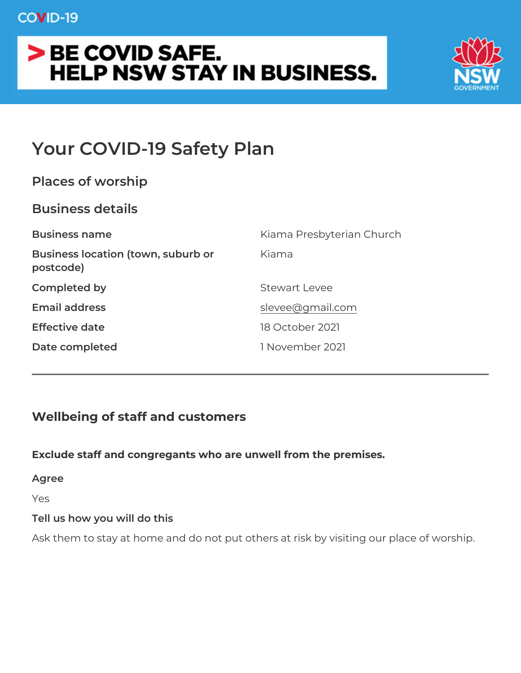# Your COVID-19 Safety Plan

| Places of worship                                  |                           |  |  |  |  |  |  |
|----------------------------------------------------|---------------------------|--|--|--|--|--|--|
| Business details                                   |                           |  |  |  |  |  |  |
| Business name                                      | Kiama Presbyterian Church |  |  |  |  |  |  |
| Business location (town, suburbK bama<br>postcode) |                           |  |  |  |  |  |  |
| Completed by                                       | Stewart Levee             |  |  |  |  |  |  |
| Email address                                      | slevee@gmail.com          |  |  |  |  |  |  |
| Effective date                                     | 18 October 2021           |  |  |  |  |  |  |
| Date completed                                     | 1 November 2021           |  |  |  |  |  |  |

Wellbeing of staff and customers

|                              |  |  |  |  |  | Exclude staff and congregants who are unwell from the premises.    |  |  |  |  |  |
|------------------------------|--|--|--|--|--|--------------------------------------------------------------------|--|--|--|--|--|
| Agree                        |  |  |  |  |  |                                                                    |  |  |  |  |  |
| Yes                          |  |  |  |  |  |                                                                    |  |  |  |  |  |
| Tell us how you will do this |  |  |  |  |  |                                                                    |  |  |  |  |  |
|                              |  |  |  |  |  | Ask them to stay at home and do not put others at risk by visiting |  |  |  |  |  |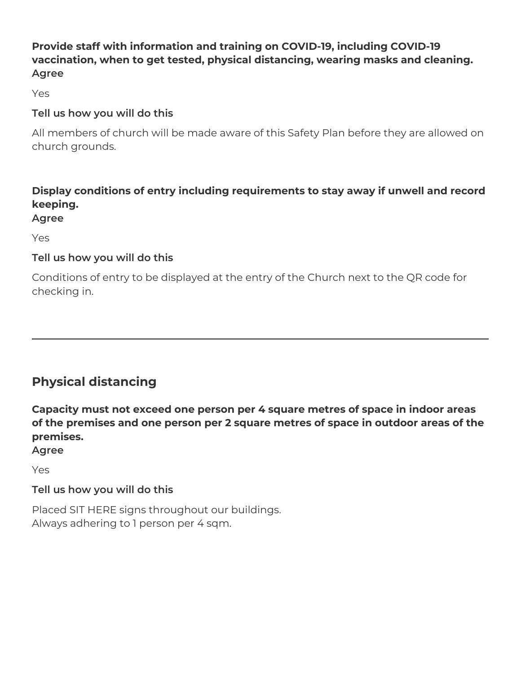# **Provide staff with information and training on COVID-19, including COVID-19 vaccination, when to get tested, physical distancing, wearing masks and cleaning. Agree**

Yes

# **Tell us how you will do this**

All members of church will be made aware of this Safety Plan before they are allowed on church grounds.

# **Display conditions of entry including requirements to stay away if unwell and record keeping.**

#### **Agree**

Yes

# **Tell us how you will do this**

Conditions of entry to be displayed at the entry of the Church next to the QR code for checking in.

# **Physical distancing**

**Capacity must not exceed one person per 4 square metres of space in indoor areas of the premises and one person per 2 square metres of space in outdoor areas of the premises.**

**Agree** Yes

# **Tell us how you will do this**

Placed SIT HERE signs throughout our buildings. Always adhering to 1 person per 4 sqm.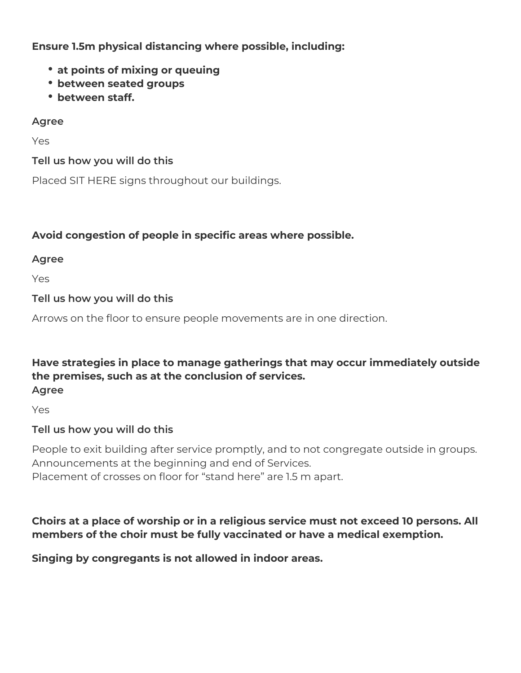**Ensure 1.5m physical distancing where possible, including:**

- **at points of mixing or queuing**
- **between seated groups**
- **between staff.**

# **Agree**

Yes

### **Tell us how you will do this**

Placed SIT HERE signs throughout our buildings.

# **Avoid congestion of people in specific areas where possible.**

### **Agree**

Yes

# **Tell us how you will do this**

Arrows on the floor to ensure people movements are in one direction.

#### **Have strategies in place to manage gatherings that may occur immediately outside the premises, such as at the conclusion of services. Agree**

Yes

# **Tell us how you will do this**

People to exit building after service promptly, and to not congregate outside in groups. Announcements at the beginning and end of Services. Placement of crosses on floor for "stand here" are 1.5 m apart.

# **Choirs at a place of worship or in a religious service must not exceed 10 persons. All members of the choir must be fully vaccinated or have a medical exemption.**

**Singing by congregants is not allowed in indoor areas.**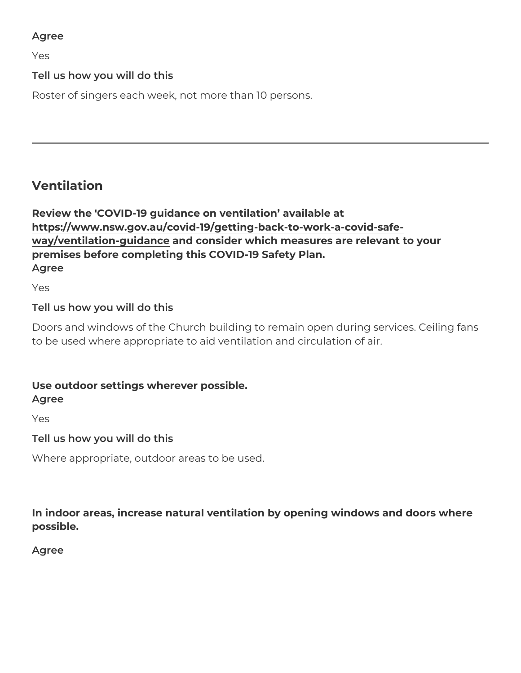Agree

Yes

Tell us how you will do this

Roster of singers each week, not more than 10 persons.

Ventilation

Review the 'COVID-19 guidance on ventilation available at https://www.nsw.gov.au/covid-19/getting-back-to-work-a-covid-safe way/ventilation-guidannde consider which measures are relevant to your premises before completing this COVID-19 Safety Plan. Agree

Yes

Tell us how you will do this

Doors and windows of the Church building to remain open during se to be used where appropriate to aid ventilation and circulation of a

Use outdoor settings wherever possible. Agree

Yes

Tell us how you will do this

Where appropriate, outdoor areas to be used.

In indoor areas, increase natural ventilation by opening windows a possible.

Agree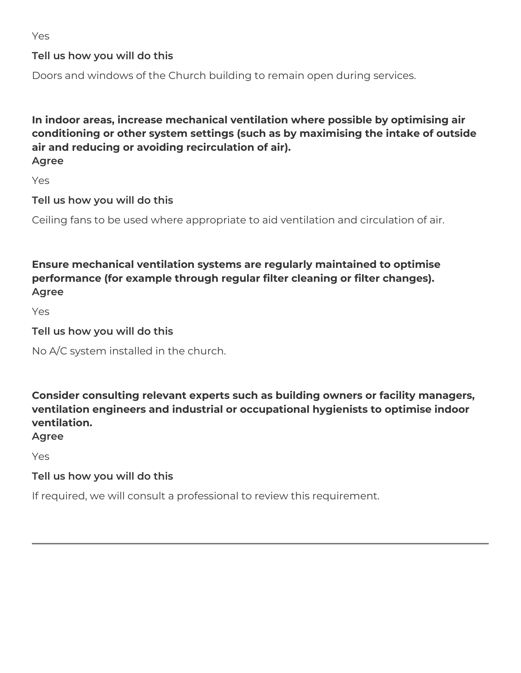Yes

# **Tell us how you will do this**

Doors and windows of the Church building to remain open during services.

**In indoor areas, increase mechanical ventilation where possible by optimising air conditioning or other system settings (such as by maximising the intake of outside air and reducing or avoiding recirculation of air). Agree**

Yes

**Tell us how you will do this**

Ceiling fans to be used where appropriate to aid ventilation and circulation of air.

**Ensure mechanical ventilation systems are regularly maintained to optimise performance (for example through regular filter cleaning or filter changes). Agree**

Yes

### **Tell us how you will do this**

No A/C system installed in the church.

**Consider consulting relevant experts such as building owners or facility managers, ventilation engineers and industrial or occupational hygienists to optimise indoor ventilation.**

**Agree**

Yes

# **Tell us how you will do this**

If required, we will consult a professional to review this requirement.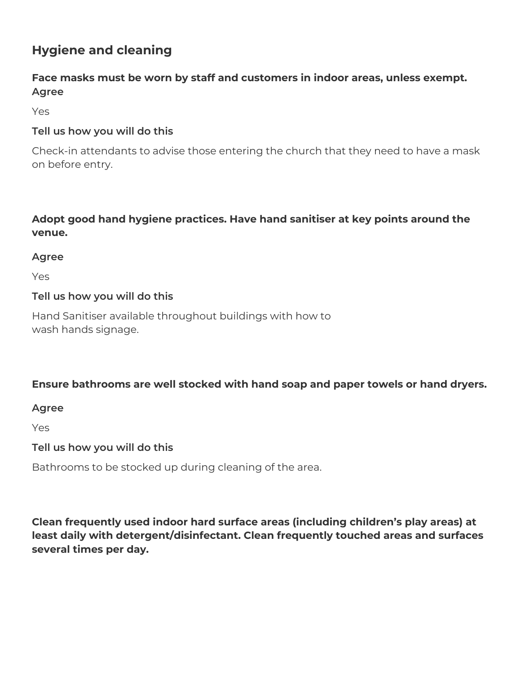# **Hygiene and cleaning**

### **Face masks must be worn by staff and customers in indoor areas, unless exempt. Agree**

Yes

#### **Tell us how you will do this**

Check-in attendants to advise those entering the church that they need to have a mask on before entry.

# **Adopt good hand hygiene practices. Have hand sanitiser at key points around the venue.**

#### **Agree**

Yes

### **Tell us how you will do this**

Hand Sanitiser available throughout buildings with how to wash hands signage.

# **Ensure bathrooms are well stocked with hand soap and paper towels or hand dryers.**

**Agree**

Yes

#### **Tell us how you will do this**

Bathrooms to be stocked up during cleaning of the area.

**Clean frequently used indoor hard surface areas (including children's play areas) at least daily with detergent/disinfectant. Clean frequently touched areas and surfaces several times per day.**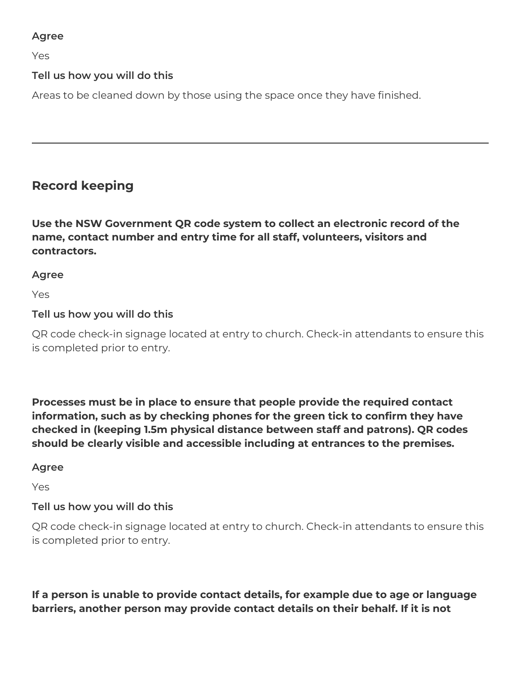#### **Agree**

Yes

### **Tell us how you will do this**

Areas to be cleaned down by those using the space once they have finished.

# **Record keeping**

**Use the NSW Government QR code system to collect an electronic record of the name, contact number and entry time for all staff, volunteers, visitors and contractors.**

#### **Agree**

Yes

### **Tell us how you will do this**

QR code check-in signage located at entry to church. Check-in attendants to ensure this is completed prior to entry.

**Processes must be in place to ensure that people provide the required contact information, such as by checking phones for the green tick to confirm they have checked in (keeping 1.5m physical distance between staff and patrons). QR codes should be clearly visible and accessible including at entrances to the premises.**

#### **Agree**

Yes

# **Tell us how you will do this**

QR code check-in signage located at entry to church. Check-in attendants to ensure this is completed prior to entry.

**If a person is unable to provide contact details, for example due to age or language barriers, another person may provide contact details on their behalf. If it is not**